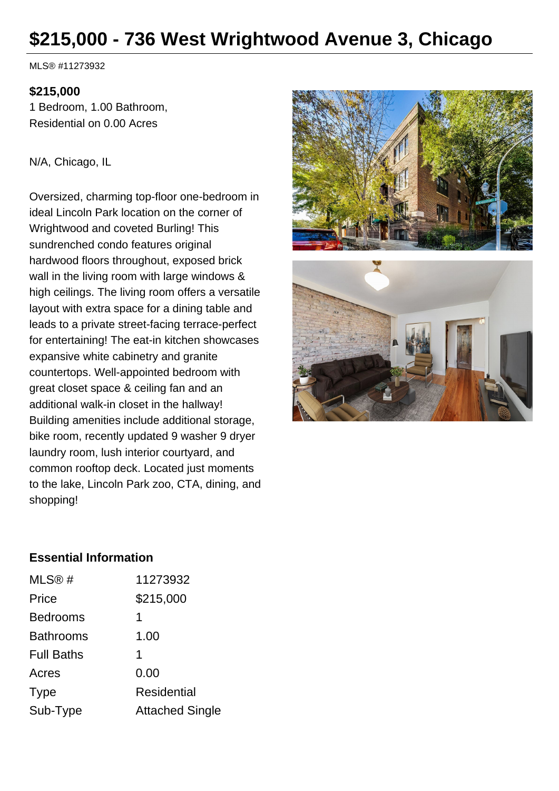# **\$215,000 - 736 West Wrightwood Avenue 3, Chicago**

MLS® #11273932

#### **\$215,000**

1 Bedroom, 1.00 Bathroom, Residential on 0.00 Acres

#### N/A, Chicago, IL

Oversized, charming top-floor one-bedroom in ideal Lincoln Park location on the corner of Wrightwood and coveted Burling! This sundrenched condo features original hardwood floors throughout, exposed brick wall in the living room with large windows & high ceilings. The living room offers a versatile layout with extra space for a dining table and leads to a private street-facing terrace-perfect for entertaining! The eat-in kitchen showcases expansive white cabinetry and granite countertops. Well-appointed bedroom with great closet space & ceiling fan and an additional walk-in closet in the hallway! Building amenities include additional storage, bike room, recently updated 9 washer 9 dryer laundry room, lush interior courtyard, and common rooftop deck. Located just moments to the lake, Lincoln Park zoo, CTA, dining, and shopping!



## **Essential Information**

| MLS®#             | 11273932               |
|-------------------|------------------------|
| Price             | \$215,000              |
| <b>Bedrooms</b>   | 1                      |
| <b>Bathrooms</b>  | 1.00                   |
| <b>Full Baths</b> | 1                      |
| Acres             | 0.00                   |
| <b>Type</b>       | Residential            |
| Sub-Type          | <b>Attached Single</b> |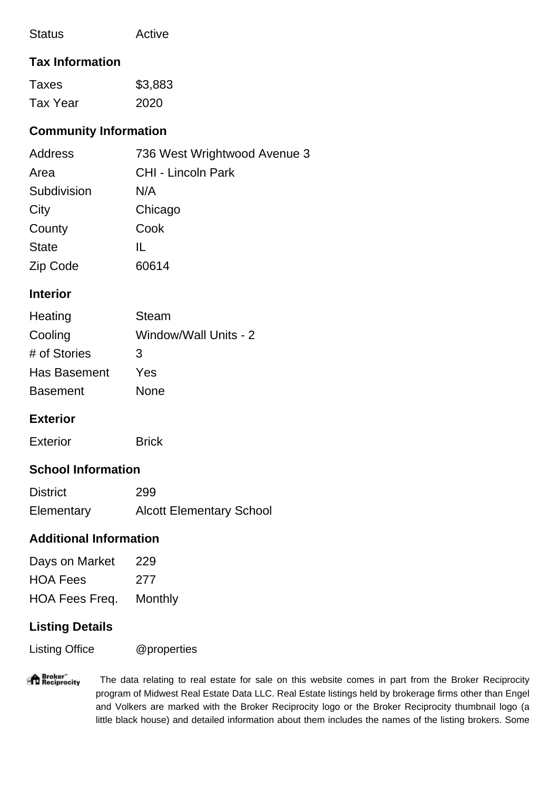| Active |
|--------|
|        |

## **Tax Information**

| Taxes    | \$3,883 |
|----------|---------|
| Tax Year | 2020    |

# **Community Information**

| Address      | 736 West Wrightwood Avenue 3 |
|--------------|------------------------------|
| Area         | <b>CHI - Lincoln Park</b>    |
| Subdivision  | N/A                          |
| City         | Chicago                      |
| County       | Cook                         |
| <b>State</b> | Ш.                           |
| Zip Code     | 60614                        |

#### **Interior**

| Heating         | <b>Steam</b>          |
|-----------------|-----------------------|
| Cooling         | Window/Wall Units - 2 |
| # of Stories    | 3                     |
| Has Basement    | Yes                   |
| <b>Basement</b> | None                  |

## **Exterior**

| <b>Exterior</b> | <b>Brick</b> |
|-----------------|--------------|
|                 |              |

# **School Information**

| <b>District</b> | 299                             |
|-----------------|---------------------------------|
| Elementary      | <b>Alcott Elementary School</b> |

## **Additional Information**

| Days on Market  | 229     |
|-----------------|---------|
| <b>HOA Fees</b> | 277     |
| HOA Fees Freq.  | Monthly |

# **Listing Details**

Listing Office @properties

**Reciprocity**  The data relating to real estate for sale on this website comes in part from the Broker Reciprocity program of Midwest Real Estate Data LLC. Real Estate listings held by brokerage firms other than Engel and Volkers are marked with the Broker Reciprocity logo or the Broker Reciprocity thumbnail logo (a little black house) and detailed information about them includes the names of the listing brokers. Some